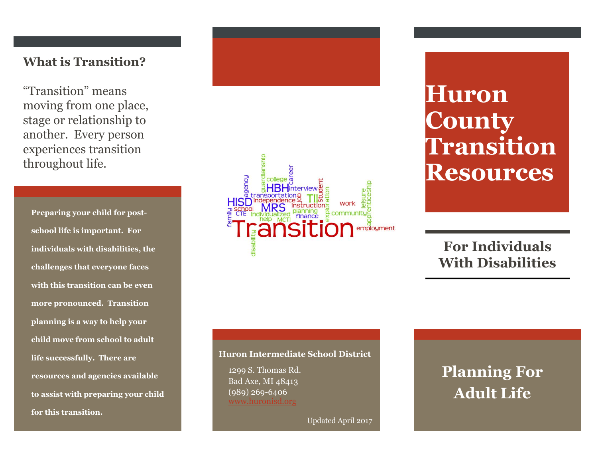### **What is Transition?**

"Transition" means moving from one place, stage or relationship to another. Every person experiences transition throughout life.

**Preparing your child for postschool life is important. For individuals with disabilities, the challenges that everyone faces with this transition can be even more pronounced. Transition planning is a way to help your child move from school to adult life successfully. There are resources and agencies available to assist with preparing your child for this transition.** 



# **Huron County Transition Resources**

## **For Individuals With Disabilities**

#### **Huron Intermediate School District**

1299 S. Thomas Rd. Bad Axe, MI 48413 (989) 269-6406

Updated April 2017

# **Planning For Adult Life**